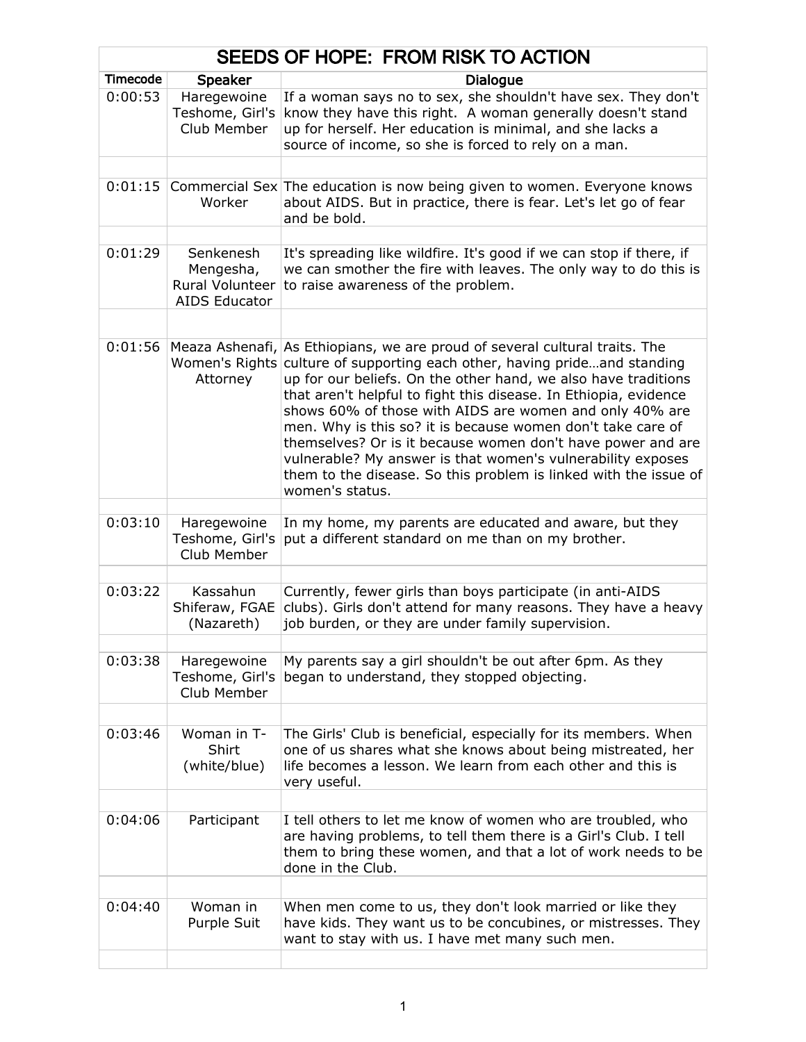| SEEDS OF HOPE: FROM RISK TO ACTION |                                                      |                                                                                                                                                                                                                                                                                                                                                                                                                                                                                                                                                                                                                |
|------------------------------------|------------------------------------------------------|----------------------------------------------------------------------------------------------------------------------------------------------------------------------------------------------------------------------------------------------------------------------------------------------------------------------------------------------------------------------------------------------------------------------------------------------------------------------------------------------------------------------------------------------------------------------------------------------------------------|
| <b>Timecode</b>                    | Speaker                                              | <b>Dialogue</b>                                                                                                                                                                                                                                                                                                                                                                                                                                                                                                                                                                                                |
| 0:00:53                            | Haregewoine<br>Teshome, Girl's<br>Club Member        | If a woman says no to sex, she shouldn't have sex. They don't<br>know they have this right. A woman generally doesn't stand<br>up for herself. Her education is minimal, and she lacks a<br>source of income, so she is forced to rely on a man.                                                                                                                                                                                                                                                                                                                                                               |
|                                    |                                                      |                                                                                                                                                                                                                                                                                                                                                                                                                                                                                                                                                                                                                |
| 0:01:15                            | Worker                                               | Commercial Sex The education is now being given to women. Everyone knows<br>about AIDS. But in practice, there is fear. Let's let go of fear<br>and be bold.                                                                                                                                                                                                                                                                                                                                                                                                                                                   |
| 0:01:29                            | Senkenesh                                            | It's spreading like wildfire. It's good if we can stop if there, if                                                                                                                                                                                                                                                                                                                                                                                                                                                                                                                                            |
|                                    | Mengesha,<br>Rural Volunteer<br><b>AIDS Educator</b> | we can smother the fire with leaves. The only way to do this is<br>to raise awareness of the problem.                                                                                                                                                                                                                                                                                                                                                                                                                                                                                                          |
|                                    |                                                      |                                                                                                                                                                                                                                                                                                                                                                                                                                                                                                                                                                                                                |
| 0:01:56                            | Meaza Ashenafi,<br>Women's Rights<br>Attorney        | As Ethiopians, we are proud of several cultural traits. The<br>culture of supporting each other, having prideand standing<br>up for our beliefs. On the other hand, we also have traditions<br>that aren't helpful to fight this disease. In Ethiopia, evidence<br>shows 60% of those with AIDS are women and only 40% are<br>men. Why is this so? it is because women don't take care of<br>themselves? Or is it because women don't have power and are<br>vulnerable? My answer is that women's vulnerability exposes<br>them to the disease. So this problem is linked with the issue of<br>women's status. |
|                                    |                                                      |                                                                                                                                                                                                                                                                                                                                                                                                                                                                                                                                                                                                                |
| 0:03:10                            | Haregewoine<br>Teshome, Girl's<br>Club Member        | In my home, my parents are educated and aware, but they<br>put a different standard on me than on my brother.                                                                                                                                                                                                                                                                                                                                                                                                                                                                                                  |
|                                    |                                                      |                                                                                                                                                                                                                                                                                                                                                                                                                                                                                                                                                                                                                |
| 0:03:22                            | Kassahun<br>Shiferaw, FGAE<br>(Nazareth)             | Currently, fewer girls than boys participate (in anti-AIDS<br>clubs). Girls don't attend for many reasons. They have a heavy<br>job burden, or they are under family supervision.                                                                                                                                                                                                                                                                                                                                                                                                                              |
|                                    |                                                      |                                                                                                                                                                                                                                                                                                                                                                                                                                                                                                                                                                                                                |
| 0:03:38                            | Haregewoine<br>Teshome, Girl's<br>Club Member        | My parents say a girl shouldn't be out after 6pm. As they<br>began to understand, they stopped objecting.                                                                                                                                                                                                                                                                                                                                                                                                                                                                                                      |
|                                    |                                                      |                                                                                                                                                                                                                                                                                                                                                                                                                                                                                                                                                                                                                |
| 0:03:46                            | Woman in T-<br>Shirt<br>(white/blue)                 | The Girls' Club is beneficial, especially for its members. When<br>one of us shares what she knows about being mistreated, her<br>life becomes a lesson. We learn from each other and this is<br>very useful.                                                                                                                                                                                                                                                                                                                                                                                                  |
|                                    |                                                      |                                                                                                                                                                                                                                                                                                                                                                                                                                                                                                                                                                                                                |
| 0:04:06                            | Participant                                          | I tell others to let me know of women who are troubled, who<br>are having problems, to tell them there is a Girl's Club. I tell<br>them to bring these women, and that a lot of work needs to be<br>done in the Club.                                                                                                                                                                                                                                                                                                                                                                                          |
|                                    |                                                      |                                                                                                                                                                                                                                                                                                                                                                                                                                                                                                                                                                                                                |
| 0:04:40                            | Woman in<br>Purple Suit                              | When men come to us, they don't look married or like they<br>have kids. They want us to be concubines, or mistresses. They<br>want to stay with us. I have met many such men.                                                                                                                                                                                                                                                                                                                                                                                                                                  |
|                                    |                                                      |                                                                                                                                                                                                                                                                                                                                                                                                                                                                                                                                                                                                                |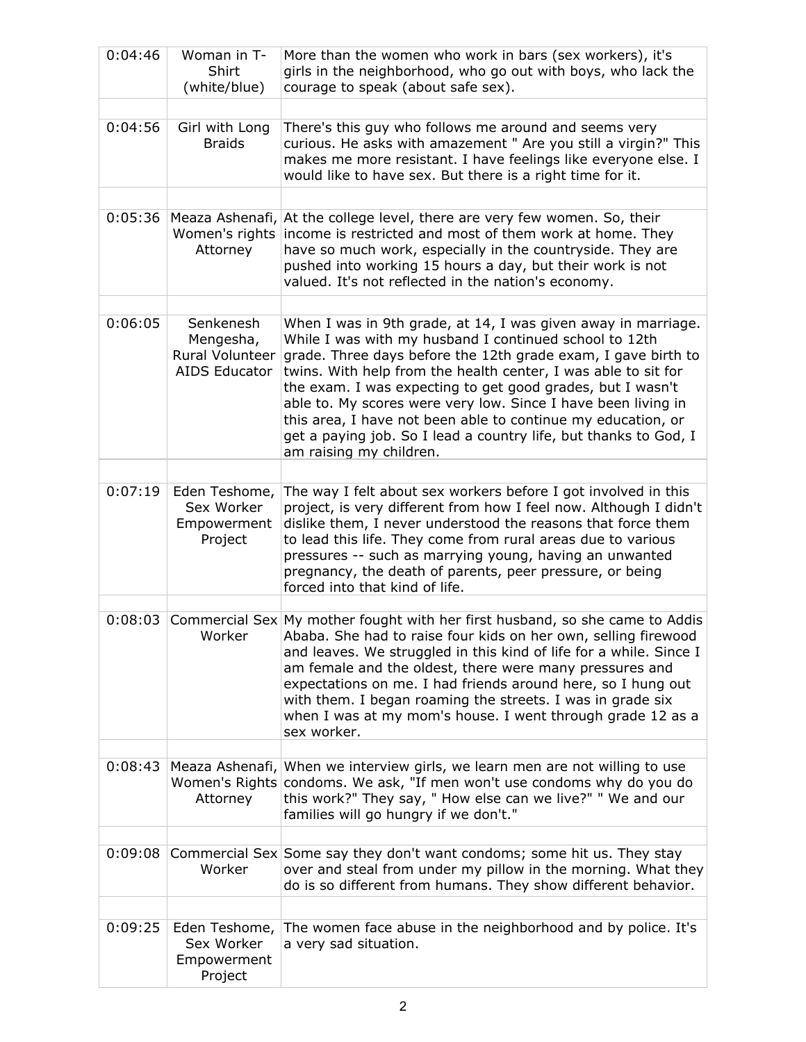| 0:04:46 | Woman in T-<br>Shirt<br>(white/blue)                       | More than the women who work in bars (sex workers), it's<br>girls in the neighborhood, who go out with boys, who lack the<br>courage to speak (about safe sex).                                                                                                                                                                                                                                                                                                                                                                                          |
|---------|------------------------------------------------------------|----------------------------------------------------------------------------------------------------------------------------------------------------------------------------------------------------------------------------------------------------------------------------------------------------------------------------------------------------------------------------------------------------------------------------------------------------------------------------------------------------------------------------------------------------------|
| 0:04:56 | Girl with Long<br><b>Braids</b>                            | There's this guy who follows me around and seems very<br>curious. He asks with amazement " Are you still a virgin?" This<br>makes me more resistant. I have feelings like everyone else. I<br>would like to have sex. But there is a right time for it.                                                                                                                                                                                                                                                                                                  |
| 0:05:36 | Meaza Ashenafi,<br>Women's rights<br>Attorney              | At the college level, there are very few women. So, their<br>income is restricted and most of them work at home. They<br>have so much work, especially in the countryside. They are<br>pushed into working 15 hours a day, but their work is not<br>valued. It's not reflected in the nation's economy.                                                                                                                                                                                                                                                  |
| 0:06:05 | Senkenesh<br>Mengesha,<br>Rural Volunteer<br>AIDS Educator | When I was in 9th grade, at 14, I was given away in marriage.<br>While I was with my husband I continued school to 12th<br>grade. Three days before the 12th grade exam, I gave birth to<br>twins. With help from the health center, I was able to sit for<br>the exam. I was expecting to get good grades, but I wasn't<br>able to. My scores were very low. Since I have been living in<br>this area, I have not been able to continue my education, or<br>get a paying job. So I lead a country life, but thanks to God, I<br>am raising my children. |
| 0:07:19 | Eden Teshome,<br>Sex Worker<br>Empowerment<br>Project      | The way I felt about sex workers before I got involved in this<br>project, is very different from how I feel now. Although I didn't<br>dislike them, I never understood the reasons that force them<br>to lead this life. They come from rural areas due to various<br>pressures -- such as marrying young, having an unwanted<br>pregnancy, the death of parents, peer pressure, or being<br>forced into that kind of life.                                                                                                                             |
| 0:08:03 | Worker                                                     | Commercial Sex My mother fought with her first husband, so she came to Addis<br>Ababa. She had to raise four kids on her own, selling firewood<br>and leaves. We struggled in this kind of life for a while. Since I<br>am female and the oldest, there were many pressures and<br>expectations on me. I had friends around here, so I hung out<br>with them. I began roaming the streets. I was in grade six<br>when I was at my mom's house. I went through grade 12 as a<br>sex worker.                                                               |
| 0:08:43 | Attorney                                                   | Meaza Ashenafi, When we interview girls, we learn men are not willing to use<br>Women's Rights condoms. We ask, "If men won't use condoms why do you do<br>this work?" They say, " How else can we live?" " We and our<br>families will go hungry if we don't."                                                                                                                                                                                                                                                                                          |
| 0:09:08 | Worker                                                     | Commercial Sex Some say they don't want condoms; some hit us. They stay<br>over and steal from under my pillow in the morning. What they<br>do is so different from humans. They show different behavior.                                                                                                                                                                                                                                                                                                                                                |
| 0:09:25 | Eden Teshome,<br>Sex Worker<br>Empowerment<br>Project      | The women face abuse in the neighborhood and by police. It's<br>a very sad situation.                                                                                                                                                                                                                                                                                                                                                                                                                                                                    |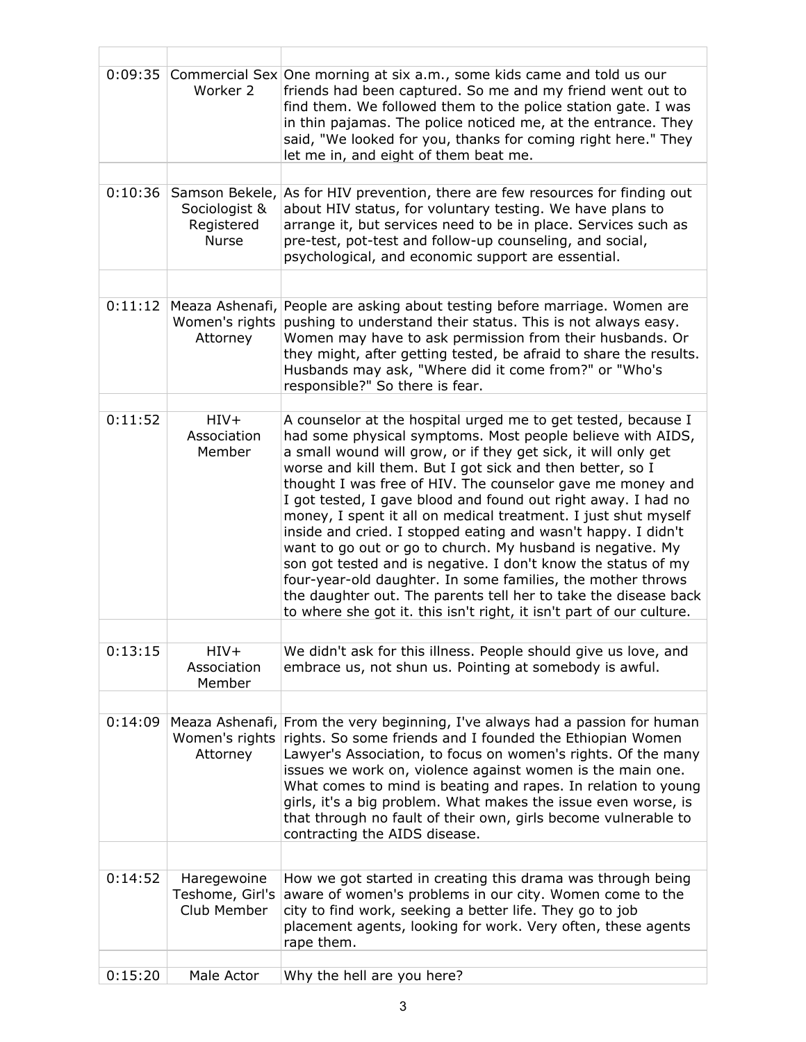| 0:09:35 | Worker 2                                                      | Commercial Sex One morning at six a.m., some kids came and told us our<br>friends had been captured. So me and my friend went out to<br>find them. We followed them to the police station gate. I was<br>in thin pajamas. The police noticed me, at the entrance. They<br>said, "We looked for you, thanks for coming right here." They<br>let me in, and eight of them beat me.                                                                                                                                                                                                                                                                                                                                                                                                                                                                                      |
|---------|---------------------------------------------------------------|-----------------------------------------------------------------------------------------------------------------------------------------------------------------------------------------------------------------------------------------------------------------------------------------------------------------------------------------------------------------------------------------------------------------------------------------------------------------------------------------------------------------------------------------------------------------------------------------------------------------------------------------------------------------------------------------------------------------------------------------------------------------------------------------------------------------------------------------------------------------------|
| 0:10:36 | Samson Bekele,<br>Sociologist &<br>Registered<br><b>Nurse</b> | As for HIV prevention, there are few resources for finding out<br>about HIV status, for voluntary testing. We have plans to<br>arrange it, but services need to be in place. Services such as<br>pre-test, pot-test and follow-up counseling, and social,<br>psychological, and economic support are essential.                                                                                                                                                                                                                                                                                                                                                                                                                                                                                                                                                       |
|         |                                                               |                                                                                                                                                                                                                                                                                                                                                                                                                                                                                                                                                                                                                                                                                                                                                                                                                                                                       |
| 0:11:12 | Meaza Ashenafi,<br>Women's rights<br>Attorney                 | People are asking about testing before marriage. Women are<br>pushing to understand their status. This is not always easy.<br>Women may have to ask permission from their husbands. Or<br>they might, after getting tested, be afraid to share the results.<br>Husbands may ask, "Where did it come from?" or "Who's<br>responsible?" So there is fear.                                                                                                                                                                                                                                                                                                                                                                                                                                                                                                               |
| 0:11:52 | $HIV+$<br>Association<br>Member                               | A counselor at the hospital urged me to get tested, because I<br>had some physical symptoms. Most people believe with AIDS,<br>a small wound will grow, or if they get sick, it will only get<br>worse and kill them. But I got sick and then better, so I<br>thought I was free of HIV. The counselor gave me money and<br>I got tested, I gave blood and found out right away. I had no<br>money, I spent it all on medical treatment. I just shut myself<br>inside and cried. I stopped eating and wasn't happy. I didn't<br>want to go out or go to church. My husband is negative. My<br>son got tested and is negative. I don't know the status of my<br>four-year-old daughter. In some families, the mother throws<br>the daughter out. The parents tell her to take the disease back<br>to where she got it. this isn't right, it isn't part of our culture. |
| 0:13:15 | $HIV+$<br>Association<br>Member                               | We didn't ask for this illness. People should give us love, and<br>embrace us, not shun us. Pointing at somebody is awful.                                                                                                                                                                                                                                                                                                                                                                                                                                                                                                                                                                                                                                                                                                                                            |
|         |                                                               |                                                                                                                                                                                                                                                                                                                                                                                                                                                                                                                                                                                                                                                                                                                                                                                                                                                                       |
| 0:14:09 | Meaza Ashenafi,<br>Women's rights<br>Attorney                 | From the very beginning, I've always had a passion for human<br>rights. So some friends and I founded the Ethiopian Women<br>Lawyer's Association, to focus on women's rights. Of the many<br>issues we work on, violence against women is the main one.<br>What comes to mind is beating and rapes. In relation to young<br>girls, it's a big problem. What makes the issue even worse, is<br>that through no fault of their own, girls become vulnerable to<br>contracting the AIDS disease.                                                                                                                                                                                                                                                                                                                                                                        |
|         |                                                               |                                                                                                                                                                                                                                                                                                                                                                                                                                                                                                                                                                                                                                                                                                                                                                                                                                                                       |
| 0:14:52 | Haregewoine<br>Teshome, Girl's<br>Club Member                 | How we got started in creating this drama was through being<br>aware of women's problems in our city. Women come to the<br>city to find work, seeking a better life. They go to job<br>placement agents, looking for work. Very often, these agents<br>rape them.                                                                                                                                                                                                                                                                                                                                                                                                                                                                                                                                                                                                     |
| 0:15:20 | Male Actor                                                    | Why the hell are you here?                                                                                                                                                                                                                                                                                                                                                                                                                                                                                                                                                                                                                                                                                                                                                                                                                                            |
|         |                                                               |                                                                                                                                                                                                                                                                                                                                                                                                                                                                                                                                                                                                                                                                                                                                                                                                                                                                       |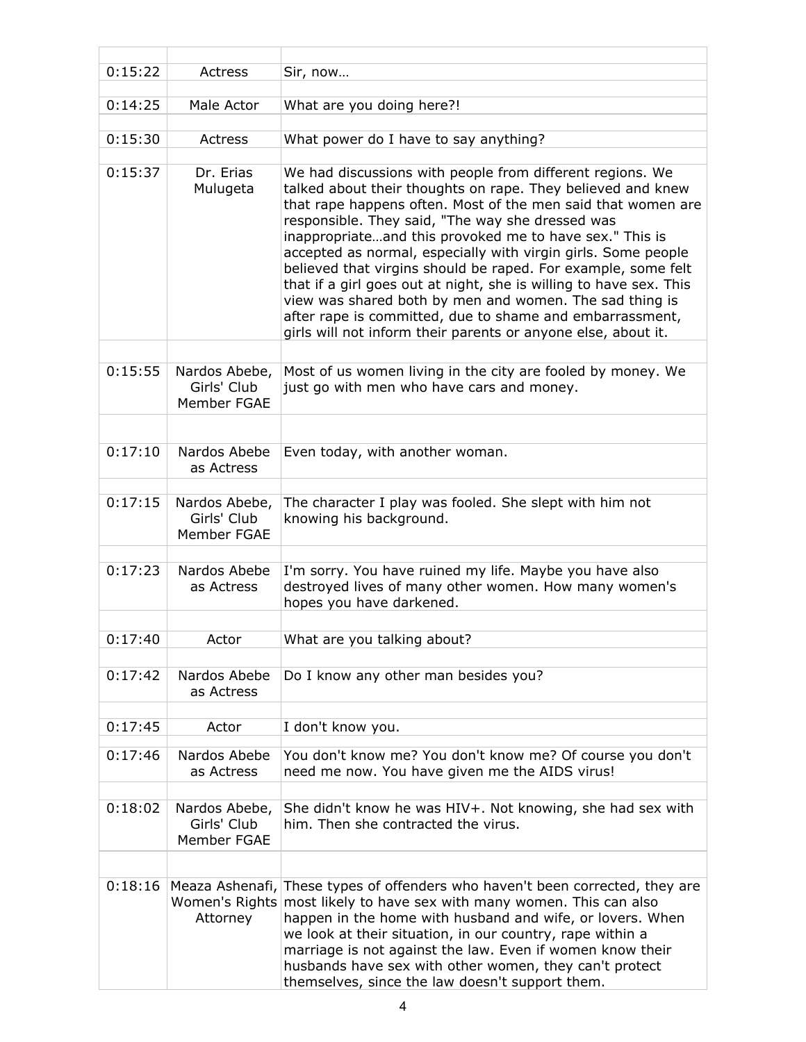| 0:15:22 | Actress                                       | Sir, now                                                                                                                                                                                                                                                                                                                                                                                                                                                                                                                                                                                                                                                                                                |
|---------|-----------------------------------------------|---------------------------------------------------------------------------------------------------------------------------------------------------------------------------------------------------------------------------------------------------------------------------------------------------------------------------------------------------------------------------------------------------------------------------------------------------------------------------------------------------------------------------------------------------------------------------------------------------------------------------------------------------------------------------------------------------------|
| 0:14:25 | Male Actor                                    | What are you doing here?!                                                                                                                                                                                                                                                                                                                                                                                                                                                                                                                                                                                                                                                                               |
| 0:15:30 | Actress                                       | What power do I have to say anything?                                                                                                                                                                                                                                                                                                                                                                                                                                                                                                                                                                                                                                                                   |
| 0:15:37 | Dr. Erias<br>Mulugeta                         | We had discussions with people from different regions. We<br>talked about their thoughts on rape. They believed and knew<br>that rape happens often. Most of the men said that women are<br>responsible. They said, "The way she dressed was<br>inappropriateand this provoked me to have sex." This is<br>accepted as normal, especially with virgin girls. Some people<br>believed that virgins should be raped. For example, some felt<br>that if a girl goes out at night, she is willing to have sex. This<br>view was shared both by men and women. The sad thing is<br>after rape is committed, due to shame and embarrassment,<br>girls will not inform their parents or anyone else, about it. |
| 0:15:55 | Nardos Abebe,<br>Girls' Club<br>Member FGAE   | Most of us women living in the city are fooled by money. We<br>just go with men who have cars and money.                                                                                                                                                                                                                                                                                                                                                                                                                                                                                                                                                                                                |
|         |                                               |                                                                                                                                                                                                                                                                                                                                                                                                                                                                                                                                                                                                                                                                                                         |
| 0:17:10 | Nardos Abebe<br>as Actress                    | Even today, with another woman.                                                                                                                                                                                                                                                                                                                                                                                                                                                                                                                                                                                                                                                                         |
| 0:17:15 | Nardos Abebe,<br>Girls' Club<br>Member FGAE   | The character I play was fooled. She slept with him not<br>knowing his background.                                                                                                                                                                                                                                                                                                                                                                                                                                                                                                                                                                                                                      |
| 0:17:23 | Nardos Abebe<br>as Actress                    | I'm sorry. You have ruined my life. Maybe you have also<br>destroyed lives of many other women. How many women's<br>hopes you have darkened.                                                                                                                                                                                                                                                                                                                                                                                                                                                                                                                                                            |
| 0:17:40 | Actor                                         | What are you talking about?                                                                                                                                                                                                                                                                                                                                                                                                                                                                                                                                                                                                                                                                             |
| 0:17:42 | Nardos Abebe<br>as Actress                    | Do I know any other man besides you?                                                                                                                                                                                                                                                                                                                                                                                                                                                                                                                                                                                                                                                                    |
| 0:17:45 | Actor                                         | I don't know you.                                                                                                                                                                                                                                                                                                                                                                                                                                                                                                                                                                                                                                                                                       |
| 0:17:46 | Nardos Abebe<br>as Actress                    | You don't know me? You don't know me? Of course you don't<br>need me now. You have given me the AIDS virus!                                                                                                                                                                                                                                                                                                                                                                                                                                                                                                                                                                                             |
| 0:18:02 | Nardos Abebe,<br>Girls' Club<br>Member FGAE   | She didn't know he was HIV+. Not knowing, she had sex with<br>him. Then she contracted the virus.                                                                                                                                                                                                                                                                                                                                                                                                                                                                                                                                                                                                       |
| 0:18:16 | Meaza Ashenafi,<br>Women's Rights<br>Attorney | These types of offenders who haven't been corrected, they are<br>most likely to have sex with many women. This can also<br>happen in the home with husband and wife, or lovers. When<br>we look at their situation, in our country, rape within a<br>marriage is not against the law. Even if women know their<br>husbands have sex with other women, they can't protect<br>themselves, since the law doesn't support them.                                                                                                                                                                                                                                                                             |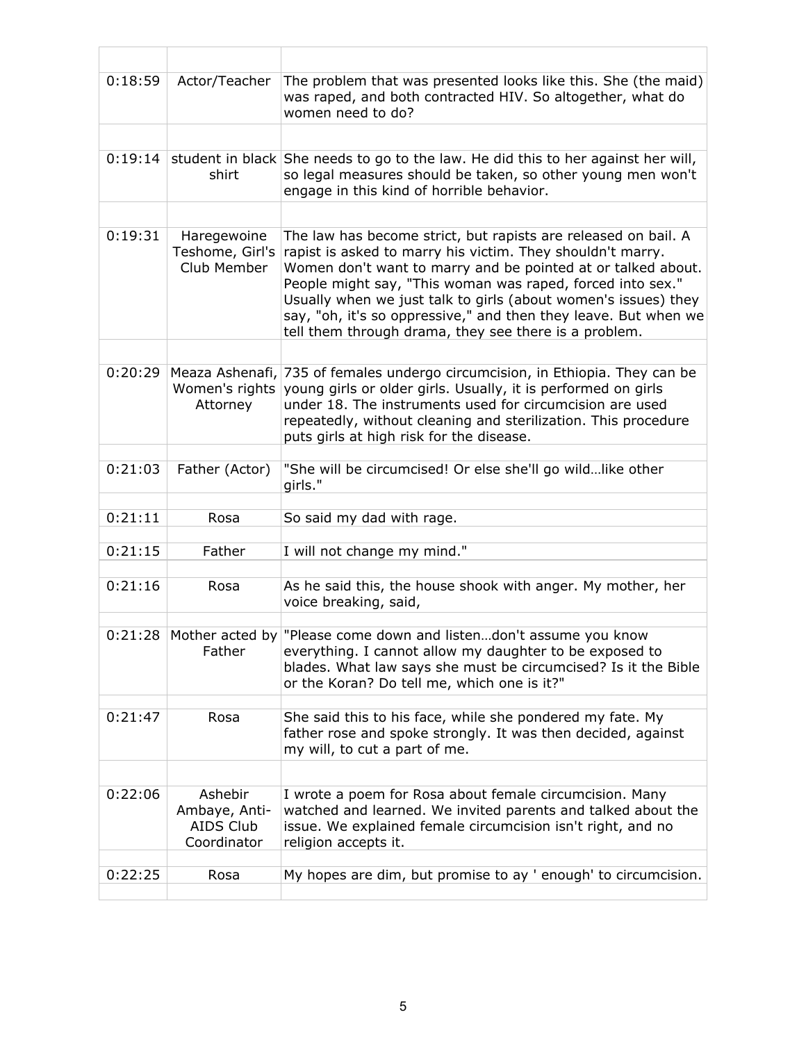| 0:18:59 | Actor/Teacher                                        | The problem that was presented looks like this. She (the maid)<br>was raped, and both contracted HIV. So altogether, what do<br>women need to do?                                                                                                                                                                                                                                                                                                        |
|---------|------------------------------------------------------|----------------------------------------------------------------------------------------------------------------------------------------------------------------------------------------------------------------------------------------------------------------------------------------------------------------------------------------------------------------------------------------------------------------------------------------------------------|
|         |                                                      |                                                                                                                                                                                                                                                                                                                                                                                                                                                          |
| 0:19:14 | shirt                                                | student in black She needs to go to the law. He did this to her against her will,<br>so legal measures should be taken, so other young men won't<br>engage in this kind of horrible behavior.                                                                                                                                                                                                                                                            |
|         |                                                      |                                                                                                                                                                                                                                                                                                                                                                                                                                                          |
| 0:19:31 | Haregewoine<br>Teshome, Girl's<br>Club Member        | The law has become strict, but rapists are released on bail. A<br>rapist is asked to marry his victim. They shouldn't marry.<br>Women don't want to marry and be pointed at or talked about.<br>People might say, "This woman was raped, forced into sex."<br>Usually when we just talk to girls (about women's issues) they<br>say, "oh, it's so oppressive," and then they leave. But when we<br>tell them through drama, they see there is a problem. |
|         |                                                      |                                                                                                                                                                                                                                                                                                                                                                                                                                                          |
| 0:20:29 | Meaza Ashenafi,<br>Women's rights<br>Attorney        | 735 of females undergo circumcision, in Ethiopia. They can be<br>young girls or older girls. Usually, it is performed on girls<br>under 18. The instruments used for circumcision are used<br>repeatedly, without cleaning and sterilization. This procedure<br>puts girls at high risk for the disease.                                                                                                                                                 |
|         |                                                      |                                                                                                                                                                                                                                                                                                                                                                                                                                                          |
| 0:21:03 | Father (Actor)                                       | "She will be circumcised! Or else she'll go wildlike other<br>girls."                                                                                                                                                                                                                                                                                                                                                                                    |
| 0:21:11 | Rosa                                                 | So said my dad with rage.                                                                                                                                                                                                                                                                                                                                                                                                                                |
| 0:21:15 | Father                                               | I will not change my mind."                                                                                                                                                                                                                                                                                                                                                                                                                              |
|         |                                                      |                                                                                                                                                                                                                                                                                                                                                                                                                                                          |
| 0:21:16 | Rosa                                                 | As he said this, the house shook with anger. My mother, her<br>voice breaking, said,                                                                                                                                                                                                                                                                                                                                                                     |
|         |                                                      | $0:21:28$ Mother acted by "Please come down and listendon't assume you know                                                                                                                                                                                                                                                                                                                                                                              |
|         | Father                                               | everything. I cannot allow my daughter to be exposed to<br>blades. What law says she must be circumcised? Is it the Bible<br>or the Koran? Do tell me, which one is it?"                                                                                                                                                                                                                                                                                 |
| 0:21:47 | Rosa                                                 | She said this to his face, while she pondered my fate. My                                                                                                                                                                                                                                                                                                                                                                                                |
|         |                                                      | father rose and spoke strongly. It was then decided, against<br>my will, to cut a part of me.                                                                                                                                                                                                                                                                                                                                                            |
|         |                                                      |                                                                                                                                                                                                                                                                                                                                                                                                                                                          |
| 0:22:06 | Ashebir<br>Ambaye, Anti-<br>AIDS Club<br>Coordinator | I wrote a poem for Rosa about female circumcision. Many<br>watched and learned. We invited parents and talked about the<br>issue. We explained female circumcision isn't right, and no<br>religion accepts it.                                                                                                                                                                                                                                           |
| 0:22:25 |                                                      | My hopes are dim, but promise to ay ' enough' to circumcision.                                                                                                                                                                                                                                                                                                                                                                                           |
|         | Rosa                                                 |                                                                                                                                                                                                                                                                                                                                                                                                                                                          |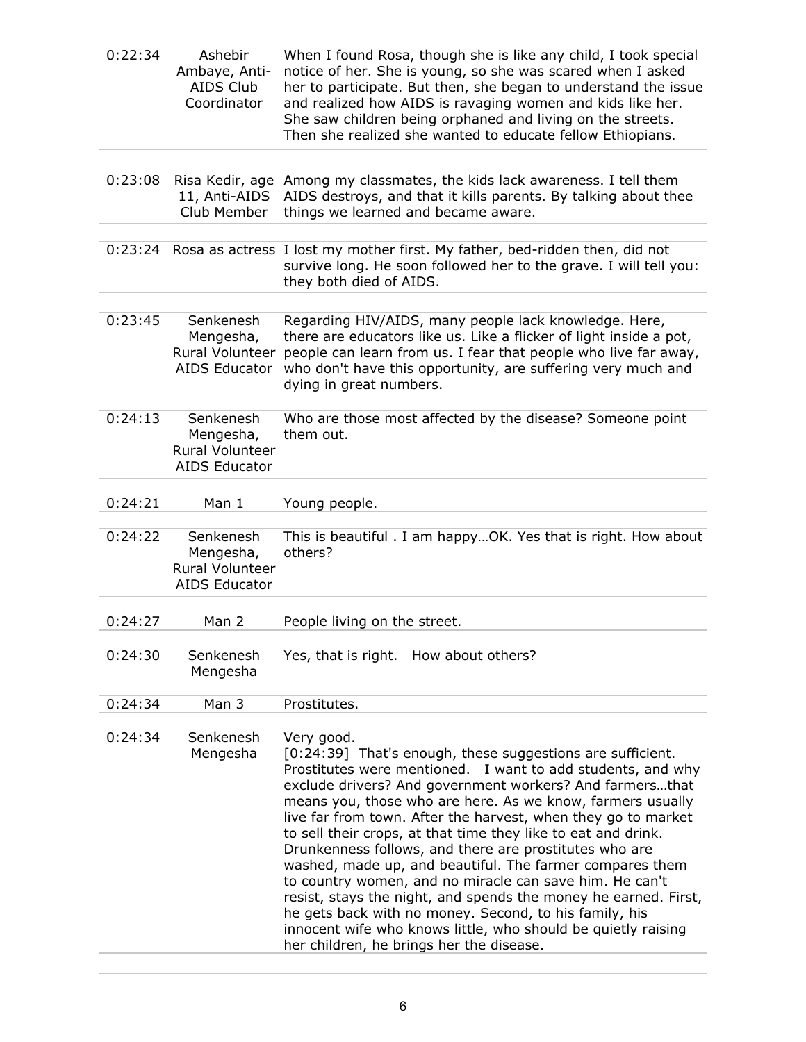| 0:22:34 | Ashebir<br>Ambaye, Anti-<br>AIDS Club<br>Coordinator                     | When I found Rosa, though she is like any child, I took special<br>notice of her. She is young, so she was scared when I asked<br>her to participate. But then, she began to understand the issue<br>and realized how AIDS is ravaging women and kids like her.<br>She saw children being orphaned and living on the streets.<br>Then she realized she wanted to educate fellow Ethiopians.                                                                                                                                                                                                                                                                                                                                                                                                                                    |
|---------|--------------------------------------------------------------------------|--------------------------------------------------------------------------------------------------------------------------------------------------------------------------------------------------------------------------------------------------------------------------------------------------------------------------------------------------------------------------------------------------------------------------------------------------------------------------------------------------------------------------------------------------------------------------------------------------------------------------------------------------------------------------------------------------------------------------------------------------------------------------------------------------------------------------------|
| 0:23:08 | Risa Kedir, age<br>11, Anti-AIDS<br>Club Member                          | Among my classmates, the kids lack awareness. I tell them<br>AIDS destroys, and that it kills parents. By talking about thee<br>things we learned and became aware.                                                                                                                                                                                                                                                                                                                                                                                                                                                                                                                                                                                                                                                            |
| 0:23:24 |                                                                          | Rosa as actress   I lost my mother first. My father, bed-ridden then, did not<br>survive long. He soon followed her to the grave. I will tell you:<br>they both died of AIDS.                                                                                                                                                                                                                                                                                                                                                                                                                                                                                                                                                                                                                                                  |
| 0:23:45 | Senkenesh<br>Mengesha,<br><b>Rural Volunteer</b><br><b>AIDS Educator</b> | Regarding HIV/AIDS, many people lack knowledge. Here,<br>there are educators like us. Like a flicker of light inside a pot,<br>people can learn from us. I fear that people who live far away,<br>who don't have this opportunity, are suffering very much and<br>dying in great numbers.                                                                                                                                                                                                                                                                                                                                                                                                                                                                                                                                      |
| 0:24:13 | Senkenesh<br>Mengesha,<br>Rural Volunteer<br><b>AIDS Educator</b>        | Who are those most affected by the disease? Someone point<br>them out.                                                                                                                                                                                                                                                                                                                                                                                                                                                                                                                                                                                                                                                                                                                                                         |
| 0:24:21 | Man 1                                                                    | Young people.                                                                                                                                                                                                                                                                                                                                                                                                                                                                                                                                                                                                                                                                                                                                                                                                                  |
| 0:24:22 | Senkenesh<br>Mengesha,<br>Rural Volunteer<br><b>AIDS Educator</b>        | This is beautiful . I am happy OK. Yes that is right. How about<br>others?                                                                                                                                                                                                                                                                                                                                                                                                                                                                                                                                                                                                                                                                                                                                                     |
| 0:24:27 | Man 2                                                                    | People living on the street.                                                                                                                                                                                                                                                                                                                                                                                                                                                                                                                                                                                                                                                                                                                                                                                                   |
|         |                                                                          |                                                                                                                                                                                                                                                                                                                                                                                                                                                                                                                                                                                                                                                                                                                                                                                                                                |
| 0:24:30 | Senkenesh<br>Mengesha                                                    | Yes, that is right. How about others?                                                                                                                                                                                                                                                                                                                                                                                                                                                                                                                                                                                                                                                                                                                                                                                          |
| 0:24:34 | Man 3                                                                    | Prostitutes.                                                                                                                                                                                                                                                                                                                                                                                                                                                                                                                                                                                                                                                                                                                                                                                                                   |
| 0:24:34 | Senkenesh<br>Mengesha                                                    | Very good.<br>[0:24:39] That's enough, these suggestions are sufficient.<br>Prostitutes were mentioned. I want to add students, and why<br>exclude drivers? And government workers? And farmersthat<br>means you, those who are here. As we know, farmers usually<br>live far from town. After the harvest, when they go to market<br>to sell their crops, at that time they like to eat and drink.<br>Drunkenness follows, and there are prostitutes who are<br>washed, made up, and beautiful. The farmer compares them<br>to country women, and no miracle can save him. He can't<br>resist, stays the night, and spends the money he earned. First,<br>he gets back with no money. Second, to his family, his<br>innocent wife who knows little, who should be quietly raising<br>her children, he brings her the disease. |
|         |                                                                          |                                                                                                                                                                                                                                                                                                                                                                                                                                                                                                                                                                                                                                                                                                                                                                                                                                |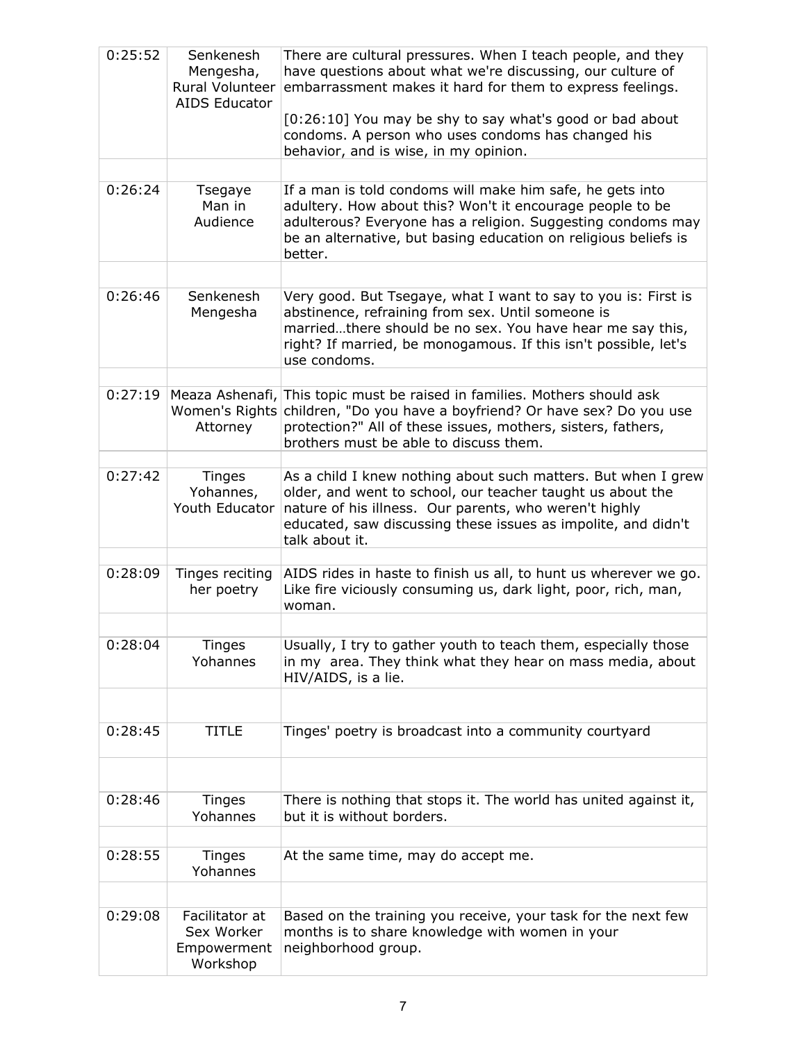| 0:25:52 | Senkenesh<br>Mengesha,<br>Rural Volunteer<br><b>AIDS Educator</b> | There are cultural pressures. When I teach people, and they<br>have questions about what we're discussing, our culture of<br>embarrassment makes it hard for them to express feelings.<br>[0:26:10] You may be shy to say what's good or bad about<br>condoms. A person who uses condoms has changed his<br>behavior, and is wise, in my opinion. |
|---------|-------------------------------------------------------------------|---------------------------------------------------------------------------------------------------------------------------------------------------------------------------------------------------------------------------------------------------------------------------------------------------------------------------------------------------|
| 0:26:24 | Tsegaye                                                           | If a man is told condoms will make him safe, he gets into                                                                                                                                                                                                                                                                                         |
|         | Man in<br>Audience                                                | adultery. How about this? Won't it encourage people to be<br>adulterous? Everyone has a religion. Suggesting condoms may<br>be an alternative, but basing education on religious beliefs is<br>better.                                                                                                                                            |
|         |                                                                   |                                                                                                                                                                                                                                                                                                                                                   |
| 0:26:46 | Senkenesh<br>Mengesha                                             | Very good. But Tsegaye, what I want to say to you is: First is<br>abstinence, refraining from sex. Until someone is<br>marriedthere should be no sex. You have hear me say this,<br>right? If married, be monogamous. If this isn't possible, let's<br>use condoms.                                                                               |
| 0:27:19 | Meaza Ashenafi,                                                   | This topic must be raised in families. Mothers should ask                                                                                                                                                                                                                                                                                         |
|         | Women's Rights<br>Attorney                                        | children, "Do you have a boyfriend? Or have sex? Do you use<br>protection?" All of these issues, mothers, sisters, fathers,<br>brothers must be able to discuss them.                                                                                                                                                                             |
| 0:27:42 | <b>Tinges</b><br>Yohannes,<br>Youth Educator                      | As a child I knew nothing about such matters. But when I grew<br>older, and went to school, our teacher taught us about the<br>nature of his illness. Our parents, who weren't highly<br>educated, saw discussing these issues as impolite, and didn't<br>talk about it.                                                                          |
| 0:28:09 | Tinges reciting<br>her poetry                                     | AIDS rides in haste to finish us all, to hunt us wherever we go.<br>Like fire viciously consuming us, dark light, poor, rich, man,<br>woman.                                                                                                                                                                                                      |
|         |                                                                   |                                                                                                                                                                                                                                                                                                                                                   |
| 0:28:04 | <b>Tinges</b><br>Yohannes                                         | Usually, I try to gather youth to teach them, especially those<br>in my area. They think what they hear on mass media, about<br>HIV/AIDS, is a lie.                                                                                                                                                                                               |
|         |                                                                   |                                                                                                                                                                                                                                                                                                                                                   |
| 0:28:45 | <b>TITLE</b>                                                      | Tinges' poetry is broadcast into a community courtyard                                                                                                                                                                                                                                                                                            |
|         |                                                                   |                                                                                                                                                                                                                                                                                                                                                   |
| 0:28:46 | Tinges<br>Yohannes                                                | There is nothing that stops it. The world has united against it,<br>but it is without borders.                                                                                                                                                                                                                                                    |
|         |                                                                   |                                                                                                                                                                                                                                                                                                                                                   |
| 0:28:55 | <b>Tinges</b><br>Yohannes                                         | At the same time, may do accept me.                                                                                                                                                                                                                                                                                                               |
|         |                                                                   |                                                                                                                                                                                                                                                                                                                                                   |
| 0:29:08 | Facilitator at<br>Sex Worker<br>Empowerment<br>Workshop           | Based on the training you receive, your task for the next few<br>months is to share knowledge with women in your<br>neighborhood group.                                                                                                                                                                                                           |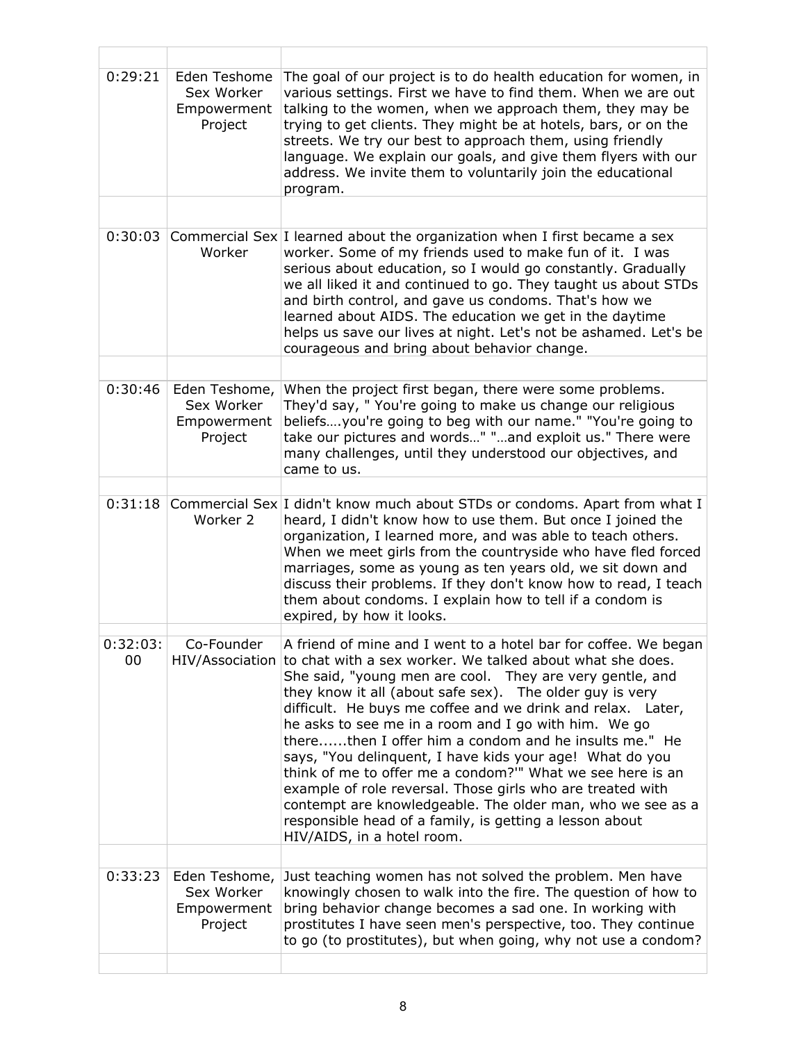| 0:29:21        | Eden Teshome<br>Sex Worker<br>Empowerment<br>Project  | The goal of our project is to do health education for women, in<br>various settings. First we have to find them. When we are out<br>talking to the women, when we approach them, they may be<br>trying to get clients. They might be at hotels, bars, or on the<br>streets. We try our best to approach them, using friendly<br>language. We explain our goals, and give them flyers with our<br>address. We invite them to voluntarily join the educational<br>program.                                                                                                                                                                                                                                                                                                           |
|----------------|-------------------------------------------------------|------------------------------------------------------------------------------------------------------------------------------------------------------------------------------------------------------------------------------------------------------------------------------------------------------------------------------------------------------------------------------------------------------------------------------------------------------------------------------------------------------------------------------------------------------------------------------------------------------------------------------------------------------------------------------------------------------------------------------------------------------------------------------------|
| 0:30:03        | Worker                                                | Commercial Sex I learned about the organization when I first became a sex<br>worker. Some of my friends used to make fun of it. I was<br>serious about education, so I would go constantly. Gradually                                                                                                                                                                                                                                                                                                                                                                                                                                                                                                                                                                              |
|                |                                                       | we all liked it and continued to go. They taught us about STDs<br>and birth control, and gave us condoms. That's how we<br>learned about AIDS. The education we get in the daytime<br>helps us save our lives at night. Let's not be ashamed. Let's be<br>courageous and bring about behavior change.                                                                                                                                                                                                                                                                                                                                                                                                                                                                              |
|                |                                                       |                                                                                                                                                                                                                                                                                                                                                                                                                                                                                                                                                                                                                                                                                                                                                                                    |
| 0:30:46        | Eden Teshome,<br>Sex Worker<br>Empowerment<br>Project | When the project first began, there were some problems.<br>They'd say, " You're going to make us change our religious<br>beliefsyou're going to beg with our name." "You're going to<br>take our pictures and words" "and exploit us." There were<br>many challenges, until they understood our objectives, and<br>came to us.                                                                                                                                                                                                                                                                                                                                                                                                                                                     |
| 0:31:18        |                                                       |                                                                                                                                                                                                                                                                                                                                                                                                                                                                                                                                                                                                                                                                                                                                                                                    |
|                | Worker 2                                              | Commercial Sex I didn't know much about STDs or condoms. Apart from what I<br>heard, I didn't know how to use them. But once I joined the<br>organization, I learned more, and was able to teach others.<br>When we meet girls from the countryside who have fled forced<br>marriages, some as young as ten years old, we sit down and<br>discuss their problems. If they don't know how to read, I teach<br>them about condoms. I explain how to tell if a condom is<br>expired, by how it looks.                                                                                                                                                                                                                                                                                 |
| U:32:U3:<br>00 | Co-Founder<br>HIV/Association                         | A friend of mine and I went to a hotel bar for coffee. We began<br>to chat with a sex worker. We talked about what she does.<br>She said, "young men are cool. They are very gentle, and<br>they know it all (about safe sex). The older guy is very<br>difficult. He buys me coffee and we drink and relax. Later,<br>he asks to see me in a room and I go with him. We go<br>therethen I offer him a condom and he insults me." He<br>says, "You delinquent, I have kids your age! What do you<br>think of me to offer me a condom?" What we see here is an<br>example of role reversal. Those girls who are treated with<br>contempt are knowledgeable. The older man, who we see as a<br>responsible head of a family, is getting a lesson about<br>HIV/AIDS, in a hotel room. |
| 0:33:23        | Eden Teshome,                                         | Just teaching women has not solved the problem. Men have                                                                                                                                                                                                                                                                                                                                                                                                                                                                                                                                                                                                                                                                                                                           |
|                | Sex Worker<br>Empowerment<br>Project                  | knowingly chosen to walk into the fire. The question of how to<br>bring behavior change becomes a sad one. In working with<br>prostitutes I have seen men's perspective, too. They continue<br>to go (to prostitutes), but when going, why not use a condom?                                                                                                                                                                                                                                                                                                                                                                                                                                                                                                                       |
|                |                                                       |                                                                                                                                                                                                                                                                                                                                                                                                                                                                                                                                                                                                                                                                                                                                                                                    |